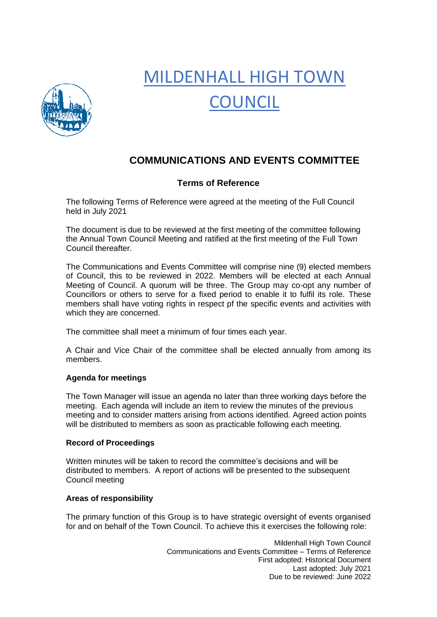

# MILDENHALL HIGH TOWN **COUNCIL**

# **COMMUNICATIONS AND EVENTS COMMITTEE**

## **Terms of Reference**

The following Terms of Reference were agreed at the meeting of the Full Council held in July 2021

The document is due to be reviewed at the first meeting of the committee following the Annual Town Council Meeting and ratified at the first meeting of the Full Town Council thereafter.

The Communications and Events Committee will comprise nine (9) elected members of Council, this to be reviewed in 2022. Members will be elected at each Annual Meeting of Council. A quorum will be three. The Group may co-opt any number of Councillors or others to serve for a fixed period to enable it to fulfil its role. These members shall have voting rights in respect pf the specific events and activities with which they are concerned.

The committee shall meet a minimum of four times each year.

A Chair and Vice Chair of the committee shall be elected annually from among its members.

### **Agenda for meetings**

The Town Manager will issue an agenda no later than three working days before the meeting. Each agenda will include an item to review the minutes of the previous meeting and to consider matters arising from actions identified. Agreed action points will be distributed to members as soon as practicable following each meeting.

#### **Record of Proceedings**

Written minutes will be taken to record the committee's decisions and will be distributed to members. A report of actions will be presented to the subsequent Council meeting

#### **Areas of responsibility**

The primary function of this Group is to have strategic oversight of events organised for and on behalf of the Town Council. To achieve this it exercises the following role:

> Mildenhall High Town Council Communications and Events Committee – Terms of Reference First adopted: Historical Document Last adopted: July 2021 Due to be reviewed: June 2022